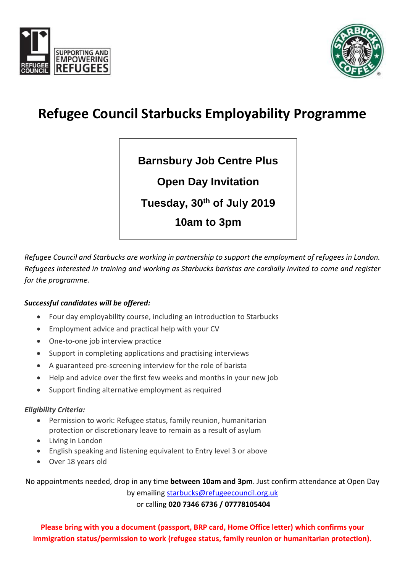



# **Refugee Council Starbucks Employability Programme**

**Barnsbury Job Centre Plus**

**Open Day Invitation**

**Tuesday, 30th of July 2019**

**10am to 3pm**

*Refugee Council and Starbucks are working in partnership to support the employment of refugees in London. Refugees interested in training and working as Starbucks baristas are cordially invited to come and register for the programme.*

#### *Successful candidates will be offered:*

- Four day employability course, including an introduction to Starbucks
- Employment advice and practical help with your CV
- One-to-one job interview practice
- Support in completing applications and practising interviews
- A guaranteed pre-screening interview for the role of barista
- Help and advice over the first few weeks and months in your new job
- Support finding alternative employment as required

#### *Eligibility Criteria:*

- Permission to work: Refugee status, family reunion, humanitarian protection or discretionary leave to remain as a result of asylum
- Living in London
- English speaking and listening equivalent to Entry level 3 or above
- Over 18 years old

No appointments needed, drop in any time **between 10am and 3pm**. Just confirm attendance at Open Day

by emailing [starbucks@refugeecouncil.org.uk](mailto:starbucks@refugeecouncil.org.uk) or calling **020 7346 6736 / 07778105404**

**Please bring with you a document (passport, BRP card, Home Office letter) which confirms your immigration status/permission to work (refugee status, family reunion or humanitarian protection).**